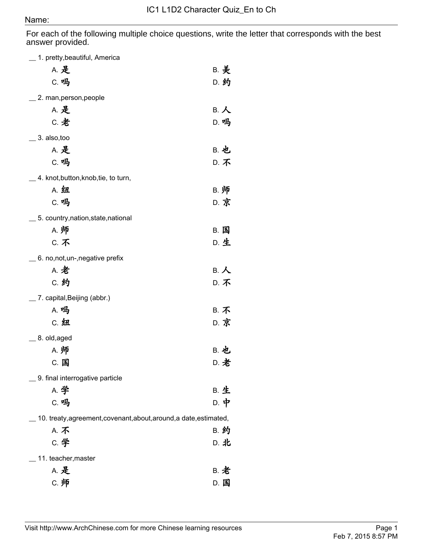For each of the following multiple choice questions, write the letter that corresponds with the best answer provided.

| $\_$ 1. pretty,beautiful, America                                  |             |
|--------------------------------------------------------------------|-------------|
| <b>A. 是</b>                                                        | <b>B. 美</b> |
| C. 吗                                                               | D. 约        |
| 2. man, person, people                                             |             |
| A. 是                                                               | B. 人        |
| C. 老                                                               | D. 吗        |
| 3. also, too                                                       |             |
| A. 是                                                               | <b>B. 也</b> |
| C. 吗                                                               | D. 不        |
|                                                                    |             |
| 4. knot, button, knob, tie, to turn,<br>A. 纽                       |             |
| C. 吗                                                               | B. 师        |
|                                                                    | D. 京        |
| 5. country, nation, state, national                                |             |
| A. 师                                                               | B. 国        |
| <b>C. 不</b>                                                        | D. 生        |
| 6. no, not, un-, negative prefix                                   |             |
| <b>A. 老</b>                                                        | B. 人        |
| C. 约                                                               | <b>D. 不</b> |
| 7. capital, Beijing (abbr.)                                        |             |
| A. 吗                                                               | <b>B. 不</b> |
| C. 纽                                                               | D. 京        |
| $\_$ 8. old,aged                                                   |             |
| A. 师                                                               | <b>B. 也</b> |
| C. 国                                                               | D. 老        |
| 9. final interrogative particle                                    |             |
| A. 学                                                               | <b>B. 生</b> |
| C. 吗                                                               | D. 中        |
| 10. treaty, agreement, covenant, about, around, a date, estimated, |             |
| A. 不                                                               | <b>B. 约</b> |
| C. 学                                                               | D. 北        |
| 11. teacher, master                                                |             |
| <b>A. 是</b>                                                        | <b>B. 老</b> |
| C. 师                                                               | D. 国        |
|                                                                    |             |